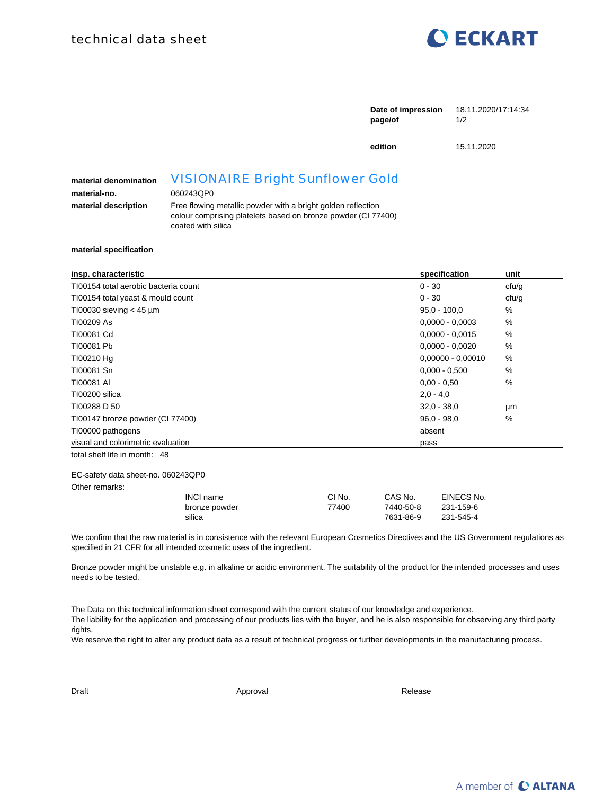

|                                                               |                                                                                                                                                                                                             | Date of impression<br>page/of | 18.11.2020/17:14:34<br>1/2 |
|---------------------------------------------------------------|-------------------------------------------------------------------------------------------------------------------------------------------------------------------------------------------------------------|-------------------------------|----------------------------|
|                                                               |                                                                                                                                                                                                             | edition                       | 15.11.2020                 |
| material denomination<br>material-no.<br>material description | <b>VISIONAIRE Bright Sunflower Gold</b><br>060243QP0<br>Free flowing metallic powder with a bright golden reflection<br>colour comprising platelets based on bronze powder (CI 77400)<br>coated with silica |                               |                            |

**material specification**

| insp. characteristic                 | specification       | unit          |
|--------------------------------------|---------------------|---------------|
| TI00154 total aerobic bacteria count | $0 - 30$            | cfu/g         |
| T100154 total yeast & mould count    | $0 - 30$            | cfu/g         |
| T100030 sieving $<$ 45 µm            | $95.0 - 100.0$      | $\%$          |
| TI00209 As                           | $0,0000 - 0,0003$   | $\%$          |
| T100081 Cd                           | $0,0000 - 0,0015$   | %             |
| T100081 Pb                           | $0,0000 - 0,0020$   | $\frac{0}{0}$ |
| TI00210 Hg                           | $0,00000 - 0,00010$ | %             |
| TI00081 Sn                           | $0.000 - 0.500$     | $\%$          |
| TI00081 AI                           | $0.00 - 0.50$       | %             |
| TI00200 silica                       | $2,0 - 4,0$         |               |
| TI00288 D 50                         | $32.0 - 38.0$       | μm            |
| TI00147 bronze powder (CI 77400)     | $96.0 - 98.0$       | $\%$          |
| TI00000 pathogens                    | absent              |               |
| visual and colorimetric evaluation   | pass                |               |
| total shelf life in month: 48        |                     |               |

EC-safety data sheet-no. 060243QP0

Other remarks:

| INCI name     | CI No. | CAS No.   | EINECS No. |
|---------------|--------|-----------|------------|
| bronze powder | 77400  | 7440-50-8 | 231-159-6  |
| silica        |        | 7631-86-9 | 231-545-4  |

We confirm that the raw material is in consistence with the relevant European Cosmetics Directives and the US Government regulations as specified in 21 CFR for all intended cosmetic uses of the ingredient.

Bronze powder might be unstable e.g. in alkaline or acidic environment. The suitability of the product for the intended processes and uses needs to be tested.

The Data on this technical information sheet correspond with the current status of our knowledge and experience. The liability for the application and processing of our products lies with the buyer, and he is also responsible for observing any third party rights.

We reserve the right to alter any product data as a result of technical progress or further developments in the manufacturing process.

Draft Approval Approval Approval Approval Release